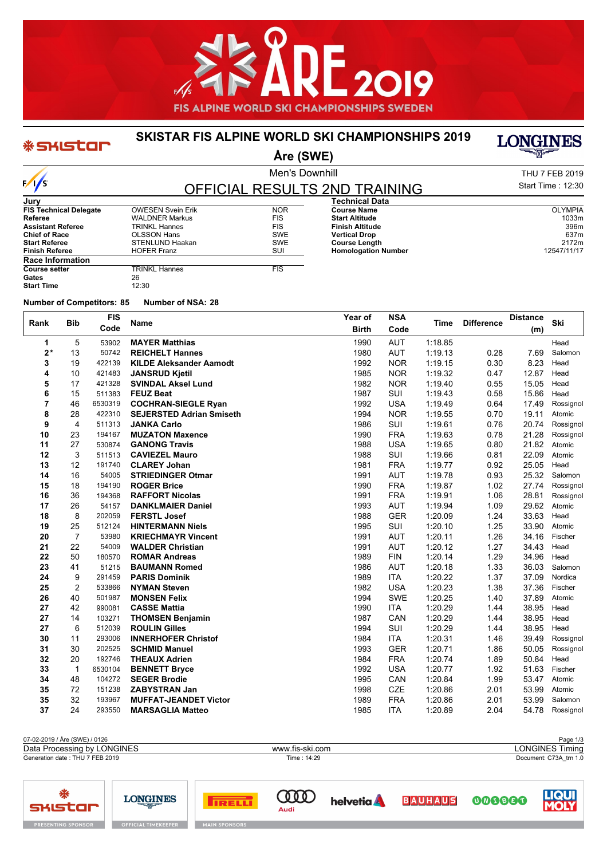

#### **SKISTAR FIS ALPINE WORLD SKI CHAMPIONSHIPS 2019**

# **LONGINES**

**Åre (SWE)**

| $\sqrt{s}$ |  |
|------------|--|

**\*SHIStar** 

**Jury**

Men's Downhill

**Homologation Number** 

| THU 7 FEB 2019    |
|-------------------|
| Start Time: 12:30 |

**Finish Altitude** 396m **Vertical Drop** 637m<br> **Course Length** 2172m **Course Length 2172m**<br> **Homologation Number** 2005 2017/11/17

#### OFFICIAL RESULTS 2ND TRAINING **FIS Technical Delegate** OWESEN Svein Erik NOR **Technical Data Course Name** OLYMPIA **Start Altitude** 1033m<br> **Start Altitude** 1033m<br> **Finish Altitude** 396m

| <b>Referee</b>           | <b>WALDNER Markus</b>  | <b>FIS</b> |
|--------------------------|------------------------|------------|
| <b>Assistant Referee</b> | <b>TRINKL Hannes</b>   | <b>FIS</b> |
| <b>Chief of Race</b>     | <b>OLSSON Hans</b>     | <b>SWE</b> |
| <b>Start Referee</b>     | <b>STENLUND Haakan</b> | <b>SWE</b> |
| <b>Finish Referee</b>    | <b>HOFER Franz</b>     | SUI        |
| <b>Race Information</b>  |                        |            |
| <b>Course setter</b>     | <b>TRINKL Hannes</b>   | <b>FIS</b> |
| Gates                    | 26                     |            |
| <b>Start Time</b>        | 12:30                  |            |

**Number of Competitors: 85 Number of NSA: 28**

| Rank | <b>Bib</b>     | <b>FIS</b> | <b>Name</b>                     | Year of      | <b>NSA</b> | Time    | <b>Difference</b> | <b>Distance</b> | Ski       |
|------|----------------|------------|---------------------------------|--------------|------------|---------|-------------------|-----------------|-----------|
|      |                | Code       |                                 | <b>Birth</b> | Code       |         |                   | (m)             |           |
| 1    | 5              | 53902      | <b>MAYER Matthias</b>           | 1990         | <b>AUT</b> | 1:18.85 |                   |                 | Head      |
| $2*$ | 13             | 50742      | <b>REICHELT Hannes</b>          | 1980         | <b>AUT</b> | 1:19.13 | 0.28              | 7.69            | Salomon   |
| 3    | 19             | 422139     | <b>KILDE Aleksander Aamodt</b>  | 1992         | <b>NOR</b> | 1:19.15 | 0.30              | 8.23            | Head      |
| 4    | 10             | 421483     | <b>JANSRUD Kjetil</b>           | 1985         | <b>NOR</b> | 1:19.32 | 0.47              | 12.87           | Head      |
| 5    | 17             | 421328     | <b>SVINDAL Aksel Lund</b>       | 1982         | <b>NOR</b> | 1:19.40 | 0.55              | 15.05           | Head      |
| 6    | 15             | 511383     | <b>FEUZ Beat</b>                | 1987         | SUI        | 1:19.43 | 0.58              | 15.86           | Head      |
| 7    | 46             | 6530319    | <b>COCHRAN-SIEGLE Ryan</b>      | 1992         | <b>USA</b> | 1:19.49 | 0.64              | 17.49           | Rossignol |
| 8    | 28             | 422310     | <b>SEJERSTED Adrian Smiseth</b> | 1994         | <b>NOR</b> | 1:19.55 | 0.70              | 19.11           | Atomic    |
| 9    | $\overline{4}$ | 511313     | <b>JANKA Carlo</b>              | 1986         | SUI        | 1:19.61 | 0.76              | 20.74           | Rossignol |
| 10   | 23             | 194167     | <b>MUZATON Maxence</b>          | 1990         | <b>FRA</b> | 1:19.63 | 0.78              | 21.28           | Rossignol |
| 11   | 27             | 530874     | <b>GANONG Travis</b>            | 1988         | <b>USA</b> | 1:19.65 | 0.80              | 21.82           | Atomic    |
| 12   | 3              | 511513     | <b>CAVIEZEL Mauro</b>           | 1988         | SUI        | 1:19.66 | 0.81              | 22.09           | Atomic    |
| 13   | 12             | 191740     | <b>CLAREY Johan</b>             | 1981         | <b>FRA</b> | 1:19.77 | 0.92              | 25.05           | Head      |
| 14   | 16             | 54005      | <b>STRIEDINGER Otmar</b>        | 1991         | <b>AUT</b> | 1:19.78 | 0.93              | 25.32           | Salomon   |
| 15   | 18             | 194190     | <b>ROGER Brice</b>              | 1990         | <b>FRA</b> | 1:19.87 | 1.02              | 27.74           | Rossignol |
| 16   | 36             | 194368     | <b>RAFFORT Nicolas</b>          | 1991         | <b>FRA</b> | 1:19.91 | 1.06              | 28.81           | Rossignol |
| 17   | 26             | 54157      | <b>DANKLMAIER Daniel</b>        | 1993         | <b>AUT</b> | 1:19.94 | 1.09              | 29.62           | Atomic    |
| 18   | 8              | 202059     | <b>FERSTL Josef</b>             | 1988         | <b>GER</b> | 1:20.09 | 1.24              | 33.63           | Head      |
| 19   | 25             | 512124     | <b>HINTERMANN Niels</b>         | 1995         | SUI        | 1:20.10 | 1.25              | 33.90           | Atomic    |
| 20   | $\overline{7}$ | 53980      | <b>KRIECHMAYR Vincent</b>       | 1991         | <b>AUT</b> | 1:20.11 | 1.26              | 34.16           | Fischer   |
| 21   | 22             | 54009      | <b>WALDER Christian</b>         | 1991         | <b>AUT</b> | 1:20.12 | 1.27              | 34.43           | Head      |
| 22   | 50             | 180570     | <b>ROMAR Andreas</b>            | 1989         | <b>FIN</b> | 1:20.14 | 1.29              | 34.96           | Head      |
| 23   | 41             | 51215      | <b>BAUMANN Romed</b>            | 1986         | <b>AUT</b> | 1:20.18 | 1.33              | 36.03           | Salomon   |
| 24   | 9              | 291459     | <b>PARIS Dominik</b>            | 1989         | <b>ITA</b> | 1:20.22 | 1.37              | 37.09           | Nordica   |
| 25   | $\overline{2}$ | 533866     | <b>NYMAN Steven</b>             | 1982         | <b>USA</b> | 1:20.23 | 1.38              | 37.36           | Fischer   |
| 26   | 40             | 501987     | <b>MONSEN Felix</b>             | 1994         | <b>SWE</b> | 1:20.25 | 1.40              | 37.89           | Atomic    |
| 27   | 42             | 990081     | <b>CASSE Mattia</b>             | 1990         | <b>ITA</b> | 1:20.29 | 1.44              | 38.95           | Head      |
| 27   | 14             | 103271     | <b>THOMSEN Benjamin</b>         | 1987         | CAN        | 1:20.29 | 1.44              | 38.95           | Head      |
| 27   | 6              | 512039     | <b>ROULIN Gilles</b>            | 1994         | SUI        | 1:20.29 | 1.44              | 38.95           | Head      |
| 30   | 11             | 293006     | <b>INNERHOFER Christof</b>      | 1984         | <b>ITA</b> | 1:20.31 | 1.46              | 39.49           | Rossignol |
| 31   | 30             | 202525     | <b>SCHMID Manuel</b>            | 1993         | <b>GER</b> | 1:20.71 | 1.86              | 50.05           | Rossignol |
| 32   | 20             | 192746     | <b>THEAUX Adrien</b>            | 1984         | <b>FRA</b> | 1:20.74 | 1.89              | 50.84           | Head      |
| 33   | $\mathbf{1}$   | 6530104    | <b>BENNETT Bryce</b>            | 1992         | <b>USA</b> | 1:20.77 | 1.92              | 51.63           | Fischer   |
| 34   | 48             | 104272     | <b>SEGER Brodie</b>             | 1995         | CAN        | 1:20.84 | 1.99              | 53.47           | Atomic    |
| 35   | 72             | 151238     | <b>ZABYSTRAN Jan</b>            | 1998         | <b>CZE</b> | 1:20.86 | 2.01              | 53.99           | Atomic    |
| 35   | 32             | 193967     | <b>MUFFAT-JEANDET Victor</b>    | 1989         | <b>FRA</b> | 1:20.86 | 2.01              | 53.99           | Salomon   |
| 37   | 24             | 293550     | <b>MARSAGLIA Matteo</b>         | 1985         | <b>ITA</b> | 1:20.89 | 2.04              | 54.78           | Rossignol |

07-02-2019 / Åre (SWE) / 0126 Page 1/3<br>
Data Processing by LONGINES **And Accessing by LONGINES** Page 1/3<br>
Data Processing by LONGINES Timing Generation date : THU 7 FEB 2019 Time : 14:29 Document: C73A\_trn 1.0 Data Processing by LONGINES www.fis-ski.com

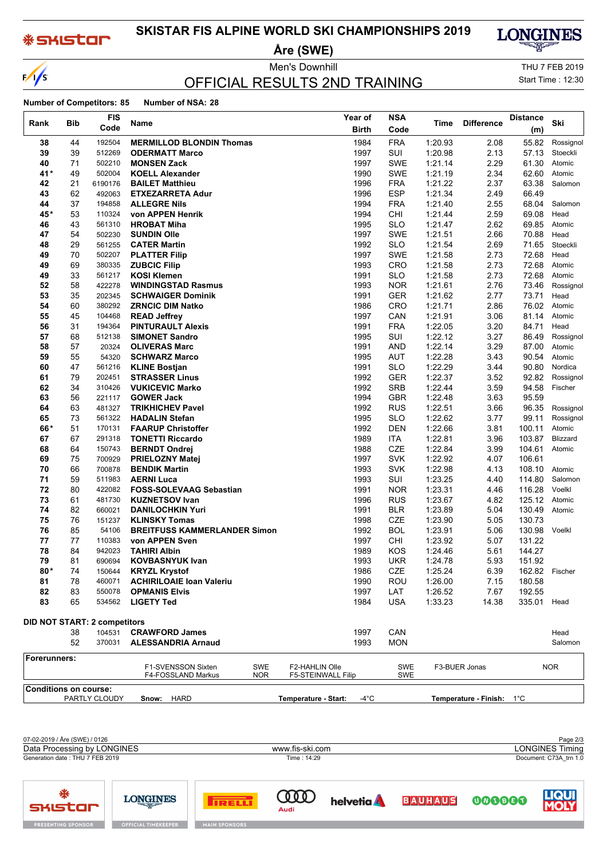### **\*SKISTOM**

 $\sqrt{s}$ 

## **SKISTAR FIS ALPINE WORLD SKI CHAMPIONSHIPS 2019**

**Åre (SWE)**



LIQUI

000000

## OFFICIAL RESULTS 2ND TRAINING

Men's Downhill **Men's Downhill** THU 7 FEB 2019 Start Time : 12:30

#### **Number of Competitors: 85 Number of NSA: 28**

|                              |            | <b>FIS</b>                          |                                                         | <b>NSA</b><br>Year of                  |            |         |                           | <b>Distance</b> |            |
|------------------------------|------------|-------------------------------------|---------------------------------------------------------|----------------------------------------|------------|---------|---------------------------|-----------------|------------|
| Rank                         | <b>Bib</b> | Code                                | Name                                                    | <b>Birth</b>                           | Code       | Time    | <b>Difference</b>         | (m)             | Ski        |
| 38                           | 44         | 192504                              | <b>MERMILLOD BLONDIN Thomas</b>                         | 1984                                   | <b>FRA</b> | 1:20.93 | 2.08                      | 55.82           | Rossignol  |
| 39                           | 39         | 512269                              | <b>ODERMATT Marco</b>                                   | 1997                                   | SUI        | 1:20.98 | 2.13                      | 57.13           | Stoeckli   |
| 40                           | 71         | 502210                              | <b>MONSEN Zack</b>                                      | 1997                                   | <b>SWE</b> | 1:21.14 | 2.29                      | 61.30           | Atomic     |
| 41*                          | 49         | 502004                              | <b>KOELL Alexander</b>                                  | 1990                                   | SWE        | 1:21.19 | 2.34                      | 62.60           | Atomic     |
| 42                           | 21         | 6190176                             | <b>BAILET Matthieu</b>                                  | 1996                                   | <b>FRA</b> | 1:21.22 | 2.37                      | 63.38           | Salomon    |
| 43                           | 62         | 492063                              | <b>ETXEZARRETA Adur</b>                                 | 1996                                   | <b>ESP</b> | 1:21.34 | 2.49                      | 66.49           |            |
| 44                           | 37         | 194858                              | <b>ALLEGRE Nils</b>                                     | 1994                                   | <b>FRA</b> | 1:21.40 | 2.55                      | 68.04           | Salomon    |
| 45*                          | 53         | 110324                              | von APPEN Henrik                                        | 1994                                   | CHI        | 1:21.44 | 2.59                      | 69.08           | Head       |
| 46                           | 43         | 561310                              | <b>HROBAT Miha</b>                                      | 1995                                   | <b>SLO</b> | 1:21.47 | 2.62                      | 69.85           | Atomic     |
| 47                           | 54         | 502230                              | <b>SUNDIN Olle</b>                                      | 1997                                   | SWE        | 1.21.51 | 2.66                      | 70.88           | Head       |
| 48                           | 29         | 561255                              | <b>CATER Martin</b>                                     | 1992                                   | <b>SLO</b> | 1:21.54 | 2.69                      | 71.65           | Stoeckli   |
| 49                           | 70         | 502207                              | <b>PLATTER Filip</b>                                    | 1997                                   | <b>SWE</b> | 1:21.58 | 2.73                      | 72.68           | Head       |
| 49                           | 69         | 380335                              | <b>ZUBCIC Filip</b>                                     | 1993                                   | CRO        | 1:21.58 | 2.73                      | 72.68           | Atomic     |
| 49                           | 33         | 561217                              | <b>KOSI Klemen</b>                                      | 1991                                   | <b>SLO</b> | 1:21.58 | 2.73                      | 72.68           | Atomic     |
| 52                           | 58         | 422278                              | <b>WINDINGSTAD Rasmus</b>                               | 1993                                   | <b>NOR</b> | 1:21.61 | 2.76                      | 73.46           | Rossignol  |
| 53                           | 35         | 202345                              | <b>SCHWAIGER Dominik</b>                                | 1991                                   | GER        | 1:21.62 | 2.77                      | 73.71           | Head       |
| 54                           | 60         | 380292                              | <b>ZRNCIC DIM Natko</b>                                 | 1986                                   | CRO        | 1.21.71 | 2.86                      | 76.02           | Atomic     |
| 55                           | 45         | 104468                              | <b>READ Jeffrey</b>                                     | 1997                                   | CAN        | 1:21.91 | 3.06                      | 81.14           | Atomic     |
| 56                           | 31         | 194364                              | <b>PINTURAULT Alexis</b>                                | 1991                                   | <b>FRA</b> | 1:22.05 | 3.20                      | 84.71           | Head       |
| 57                           | 68         | 512138                              | <b>SIMONET Sandro</b>                                   | 1995                                   | SUI        | 1:22.12 | 3.27                      | 86.49           | Rossignol  |
| 58                           | 57         | 20324                               | <b>OLIVERAS Marc</b>                                    | 1991                                   | AND        | 1:22.14 | 3.29                      | 87.00           | Atomic     |
| 59                           | 55         | 54320                               | <b>SCHWARZ Marco</b>                                    | 1995                                   | AUT        | 1:22.28 | 3.43                      | 90.54           | Atomic     |
| 60                           | 47         | 561216                              | <b>KLINE Bostjan</b>                                    | 1991                                   | SLO        | 1:22.29 | 3.44                      | 90.80           | Nordica    |
| 61                           | 79         | 202451                              | <b>STRASSER Linus</b>                                   | 1992                                   | <b>GER</b> | 1:22.37 | 3.52                      | 92.82           | Rossignol  |
| 62                           | 34         | 310426                              | <b>VUKICEVIC Marko</b>                                  | 1992                                   | <b>SRB</b> | 1:22.44 | 3.59                      | 94.58           | Fischer    |
| 63                           | 56         | 221117                              | <b>GOWER Jack</b>                                       | 1994                                   | <b>GBR</b> | 1:22.48 | 3.63                      | 95.59           |            |
| 64                           | 63         | 481327                              | <b>TRIKHICHEV Pavel</b>                                 | 1992                                   | <b>RUS</b> | 1:22.51 | 3.66                      | 96.35           | Rossignol  |
| 65                           | 73         | 561322                              | <b>HADALIN Stefan</b>                                   | 1995                                   | SLO        | 1.22.62 | 3.77                      | 99.11           | Rossignol  |
| 66*                          | 51         | 170131                              | <b>FAARUP Christoffer</b>                               | 1992                                   | <b>DEN</b> | 1:22.66 | 3.81                      | 100.11          | Atomic     |
| 67                           | 67         | 291318                              | <b>TONETTI Riccardo</b>                                 | 1989                                   | ITA        | 1:22.81 | 3.96                      | 103.87          | Blizzard   |
| 68                           | 64         | 150743                              | <b>BERNDT Ondrej</b>                                    | 1988                                   | CZE        | 1.22.84 | 3.99                      | 104.61          | Atomic     |
| 69                           | 75         | 700929                              | <b>PRIELOZNY Matej</b>                                  | 1997                                   | <b>SVK</b> | 1:22.92 | 4.07                      | 106.61          |            |
| 70                           | 66         | 700878                              | <b>BENDIK Martin</b>                                    | 1993                                   | SVK        | 1:22.98 | 4.13                      | 108.10          | Atomic     |
| 71                           | 59         | 511983                              | <b>AERNI Luca</b>                                       | 1993                                   | SUI        | 1:23.25 | 4.40                      | 114.80          | Salomon    |
| 72                           | 80         | 422082                              | <b>FOSS-SOLEVAAG Sebastian</b>                          | 1991                                   | <b>NOR</b> | 1:23.31 | 4.46                      | 116.28          | Voelkl     |
| 73                           | 61         | 481730                              | <b>KUZNETSOV Ivan</b>                                   | 1996                                   | <b>RUS</b> | 1:23.67 | 4.82                      | 125.12          | Atomic     |
| 74                           | 82         | 660021                              | <b>DANILOCHKIN Yuri</b>                                 | 1991                                   | <b>BLR</b> | 1:23.89 | 5.04                      | 130.49          | Atomic     |
| 75                           | 76         | 151237                              | <b>KLINSKY Tomas</b>                                    | 1998                                   | <b>CZE</b> | 1:23.90 | 5.05                      | 130.73          |            |
| 76                           | 85         | 54106                               | <b>BREITFUSS KAMMERLANDER Simon</b>                     | 1992                                   | <b>BOL</b> | 1:23.91 | 5.06                      | 130.98          | Voelkl     |
| 77                           | 77         | 110383                              | von APPEN Sven                                          | 1997                                   | CHI        | 1.23.92 | 5.07                      | 131.22          |            |
| 78                           | 84         | 942023                              | <b>TAHIRI Albin</b>                                     | 1989                                   | <b>KOS</b> | 1:24.46 | 5.61                      | 144.27          |            |
| 79                           | 81         | 690694                              | <b>KOVBASNYUK Ivan</b>                                  | 1993                                   | <b>UKR</b> | 1:24.78 | 5.93                      | 151.92          |            |
| 80*                          | 74         | 150644                              | <b>KRYZL Krystof</b><br><b>ACHIRILOAIE Ioan Valeriu</b> | 1986                                   | CZE        | 1:25.24 | 6.39                      | 162.82 Fischer  |            |
| 81<br>82                     | 78         | 460071                              | <b>OPMANIS Elvis</b>                                    | 1990<br>1997                           | ROU        | 1:26.00 | 7.15                      | 180.58          |            |
| 83                           | 83         | 550078<br>534562                    |                                                         |                                        | LAT        | 1:26.52 | 7.67                      | 192.55          |            |
|                              | 65         |                                     | <b>LIGETY Ted</b>                                       | 1984                                   | USA        | 1:33.23 | 14.38                     | 335.01 Head     |            |
|                              |            | <b>DID NOT START: 2 competitors</b> |                                                         |                                        |            |         |                           |                 |            |
|                              | 38         | 104531                              | <b>CRAWFORD James</b>                                   | 1997                                   | CAN        |         |                           |                 | Head       |
|                              | 52         | 370031                              | <b>ALESSANDRIA Arnaud</b>                               | 1993                                   | <b>MON</b> |         |                           |                 | Salomon    |
| Forerunners:                 |            |                                     |                                                         |                                        |            |         |                           |                 |            |
|                              |            |                                     | F1-SVENSSON Sixten<br>SWE                               | F2-HAHLIN Olle                         | SWE        |         | F3-BUER Jonas             |                 | <b>NOR</b> |
|                              |            |                                     | F4-FOSSLAND Markus<br><b>NOR</b>                        | <b>F5-STEINWALL Filip</b>              | SWE        |         |                           |                 |            |
| <b>Conditions on course:</b> |            |                                     |                                                         |                                        |            |         |                           |                 |            |
|                              |            | PARTLY CLOUDY                       | Snow: HARD                                              | Temperature - Start:<br>$-4^{\circ}$ C |            |         | Temperature - Finish: 1°C |                 |            |
|                              |            |                                     |                                                         |                                        |            |         |                           |                 |            |



**COOD** 

Audi

**TRELL** 

**helvetia** 

**BAUHAUS** 

**LONGINES** 

OFFICIAL TIMEKEEPE

**SHISTOR** 

**PRESENTING SPONSOR**